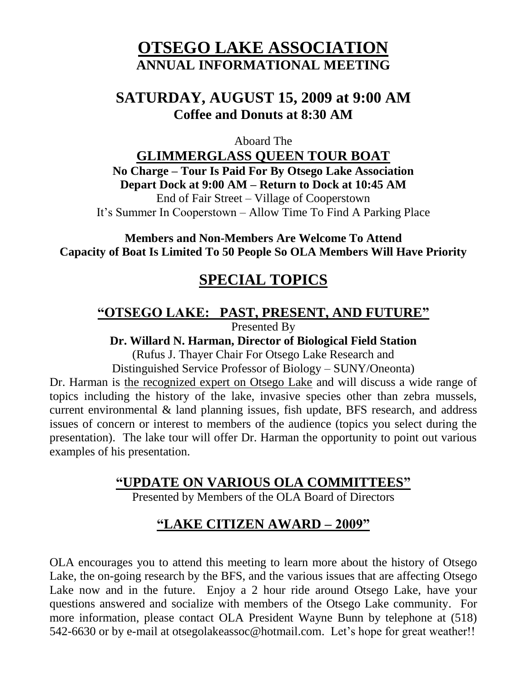# **OTSEGO LAKE ASSOCIATION ANNUAL INFORMATIONAL MEETING**

## **SATURDAY, AUGUST 15, 2009 at 9:00 AM Coffee and Donuts at 8:30 AM**

Aboard The

**GLIMMERGLASS QUEEN TOUR BOAT No Charge – Tour Is Paid For By Otsego Lake Association Depart Dock at 9:00 AM – Return to Dock at 10:45 AM** End of Fair Street – Village of Cooperstown It's Summer In Cooperstown – Allow Time To Find A Parking Place

**Members and Non-Members Are Welcome To Attend Capacity of Boat Is Limited To 50 People So OLA Members Will Have Priority**

# **SPECIAL TOPICS**

#### **"OTSEGO LAKE: PAST, PRESENT, AND FUTURE"**

Presented By

**Dr. Willard N. Harman, Director of Biological Field Station**

(Rufus J. Thayer Chair For Otsego Lake Research and

Distinguished Service Professor of Biology – SUNY/Oneonta)

Dr. Harman is the recognized expert on Otsego Lake and will discuss a wide range of topics including the history of the lake, invasive species other than zebra mussels, current environmental & land planning issues, fish update, BFS research, and address issues of concern or interest to members of the audience (topics you select during the presentation). The lake tour will offer Dr. Harman the opportunity to point out various examples of his presentation.

### **"UPDATE ON VARIOUS OLA COMMITTEES"**

Presented by Members of the OLA Board of Directors

# **"LAKE CITIZEN AWARD – 2009"**

OLA encourages you to attend this meeting to learn more about the history of Otsego Lake, the on-going research by the BFS, and the various issues that are affecting Otsego Lake now and in the future. Enjoy a 2 hour ride around Otsego Lake, have your questions answered and socialize with members of the Otsego Lake community. For more information, please contact OLA President Wayne Bunn by telephone at (518) 542-6630 or by e-mail at [otsegolakeassoc@hotmail.com.](mailto:otsegolakeassoc@hotmail.com) Let's hope for great weather!!